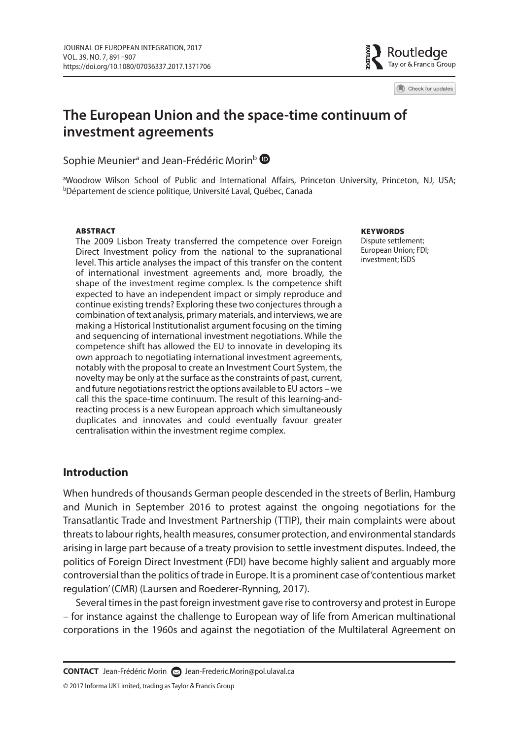Routledge Taylor & Francis Group

Check for updates

# **The European Union and the space-time continuum of investment agreements**

Sophie Meunier<sup>a</sup> and Jean-Frédéric Morin<sup>b</sup>

<sup>a</sup>Woodrow Wilson School of Public and International Affairs, Princeton University, Princeton, NJ, USA;<br><sup>b</sup>Département de science politique, Université Laval, Québec, Canada

#### **ABSTRACT**

 The 2009 Lisbon Treaty transferred the competence over Foreign Direct Investment policy from the national to the supranational level. This article analyses the impact of this transfer on the content of international investment agreements and, more broadly, the shape of the investment regime complex. Is the competence shift expected to have an independent impact or simply reproduce and continue existing trends? Exploring these two conjectures through a combination of text analysis, primary materials, and interviews, we are making a Historical Institutionalist argument focusing on the timing and sequencing of international investment negotiations. While the competence shift has allowed the EU to innovate in developing its own approach to negotiating international investment agreements, notably with the proposal to create an Investment Court System, the novelty may be only at the surface as the constraints of past, current, and future negotiations restrict the options available to EU actors – we call this the space-time continuum. The result of this learning-andreacting process is a new European approach which simultaneously duplicates and innovates and could eventually favour greater centralisation within the investment regime complex.

#### **KEYWORDS**

Dispute settlement; European Union; FDI; investment: ISDS

# **Introduction**

 When hundreds of thousands German people descended in the streets of Berlin, Hamburg and Munich in September 2016 to protest against the ongoing negotiations for the Transatlantic Trade and Investment Partnership (TTIP), their main complaints were about threats to labour rights, health measures, consumer protection, and environmental standards arising in large part because of a treaty provision to settle investment disputes. Indeed, the politics of Foreign Direct Investment (FDI) have become highly salient and arguably more controversial than the politics of trade in Europe. It is a prominent case of 'contentious market regulation' (CMR) (Laursen and Roederer-Rynning, 2017 ).

 Several times in the past foreign investment gave rise to controversy and protest in Europe – for instance against the challenge to European way of life from American multinational corporations in the 1960s and against the negotiation of the Multilateral Agreement on

© 2017 Informa UK Limited, trading as Taylor & Francis Group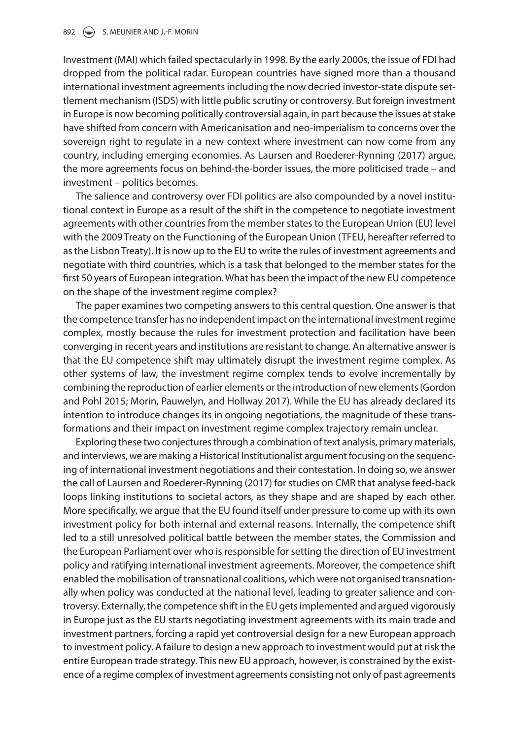Investment (MAI) which failed spectacularly in 1998. By the early 2000s, the issue of FDI had dropped from the political radar. European countries have signed more than a thousand international investment agreements including the now decried investor-state dispute settlement mechanism (ISDS) with little public scrutiny or controversy. But foreign investment in Europe is now becoming politically controversial again, in part because the issues at stake have shifted from concern with Americanisation and neo-imperialism to concerns over the sovereign right to regulate in a new context where investment can now come from any country, including emerging economies. As Laursen and Roederer-Rynning ( 2017 ) argue, the more agreements focus on behind-the-border issues, the more politicised trade – and investment – politics becomes.

 The salience and controversy over FDI politics are also compounded by a novel institutional context in Europe as a result of the shift in the competence to negotiate investment agreements with other countries from the member states to the European Union (EU) level with the 2009 Treaty on the Functioning of the European Union (TFEU, hereafter referred to as the Lisbon Treaty). It is now up to the EU to write the rules of investment agreements and negotiate with third countries, which is a task that belonged to the member states for the first 50 years of European integration. What has been the impact of the new EU competence on the shape of the investment regime complex?

 The paper examines two competing answers to this central question. One answer is that the competence transfer has no independent impact on the international investment regime complex, mostly because the rules for investment protection and facilitation have been converging in recent years and institutions are resistant to change. An alternative answer is that the EU competence shift may ultimately disrupt the investment regime complex. As other systems of law, the investment regime complex tends to evolve incrementally by combining the reproduction of earlier elements or the introduction of new elements (Gordon and Pohl 2015; Morin, Pauwelyn, and Hollway 2017). While the EU has already declared its intention to introduce changes its in ongoing negotiations, the magnitude of these transformations and their impact on investment regime complex trajectory remain unclear.

 Exploring these two conjectures through a combination of text analysis, primary materials, and interviews, we are making a Historical Institutionalist argument focusing on the sequencing of international investment negotiations and their contestation. In doing so, we answer the call of Laursen and Roederer-Rynning ( 2017 ) for studies on CMR that analyse feed-back loops linking institutions to societal actors, as they shape and are shaped by each other. More specifically, we argue that the EU found itself under pressure to come up with its own investment policy for both internal and external reasons. Internally, the competence shift led to a still unresolved political battle between the member states, the Commission and the European Parliament over who is responsible for setting the direction of EU investment policy and ratifying international investment agreements. Moreover, the competence shift enabled the mobilisation of transnational coalitions, which were not organised transnationally when policy was conducted at the national level, leading to greater salience and controversy. Externally, the competence shift in the EU gets implemented and argued vigorously in Europe just as the EU starts negotiating investment agreements with its main trade and investment partners, forcing a rapid yet controversial design for a new European approach to investment policy. A failure to design a new approach to investment would put at risk the entire European trade strategy. This new EU approach, however, is constrained by the existence of a regime complex of investment agreements consisting not only of past agreements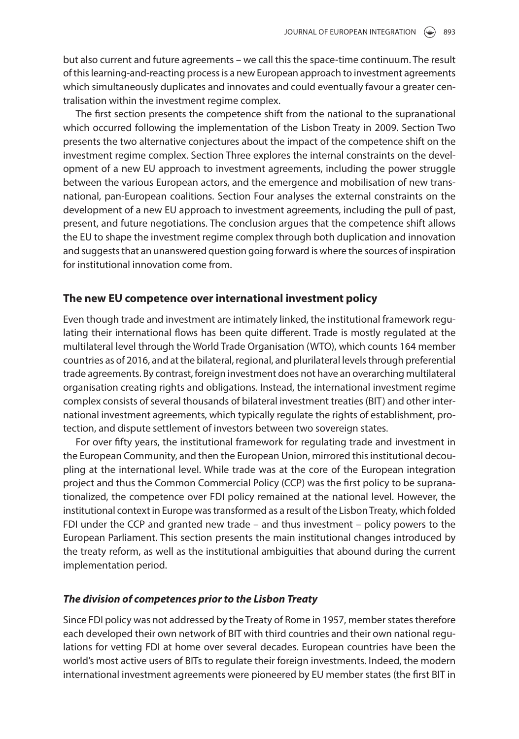but also current and future agreements – we call this the space-time continuum. The result of this learning-and-reacting process is a new European approach to investment agreements which simultaneously duplicates and innovates and could eventually favour a greater centralisation within the investment regime complex.

 The first section presents the competence shift from the national to the supranational which occurred following the implementation of the Lisbon Treaty in 2009. Section Two presents the two alternative conjectures about the impact of the competence shift on the investment regime complex. Section Three explores the internal constraints on the development of a new EU approach to investment agreements, including the power struggle between the various European actors, and the emergence and mobilisation of new transnational, pan-European coalitions. Section Four analyses the external constraints on the development of a new EU approach to investment agreements, including the pull of past, present, and future negotiations. The conclusion argues that the competence shift allows the EU to shape the investment regime complex through both duplication and innovation and suggests that an unanswered question going forward is where the sources of inspiration for institutional innovation come from.

### **The new EU competence over international investment policy**

 Even though trade and investment are intimately linked, the institutional framework regulating their international flows has been quite different. Trade is mostly regulated at the multilateral level through the World Trade Organisation (WTO), which counts 164 member countries as of 2016, and at the bilateral, regional, and plurilateral levels through preferential trade agreements. By contrast, foreign investment does not have an overarching multilateral organisation creating rights and obligations. Instead, the international investment regime complex consists of several thousands of bilateral investment treaties (BIT) and other international investment agreements, which typically regulate the rights of establishment, protection, and dispute settlement of investors between two sovereign states.

 For over fifty years, the institutional framework for regulating trade and investment in the European Community, and then the European Union, mirrored this institutional decoupling at the international level. While trade was at the core of the European integration project and thus the Common Commercial Policy (CCP) was the first policy to be supranationalized, the competence over FDI policy remained at the national level. However, the institutional context in Europe was transformed as a result of the Lisbon Treaty, which folded FDI under the CCP and granted new trade – and thus investment – policy powers to the European Parliament. This section presents the main institutional changes introduced by the treaty reform, as well as the institutional ambiguities that abound during the current implementation period.

#### **The division of competences prior to the Lisbon Treaty**

 Since FDI policy was not addressed by the Treaty of Rome in 1957, member states therefore each developed their own network of BIT with third countries and their own national regulations for vetting FDI at home over several decades. European countries have been the world's most active users of BITs to regulate their foreign investments. Indeed, the modern international investment agreements were pioneered by EU member states (the first BIT in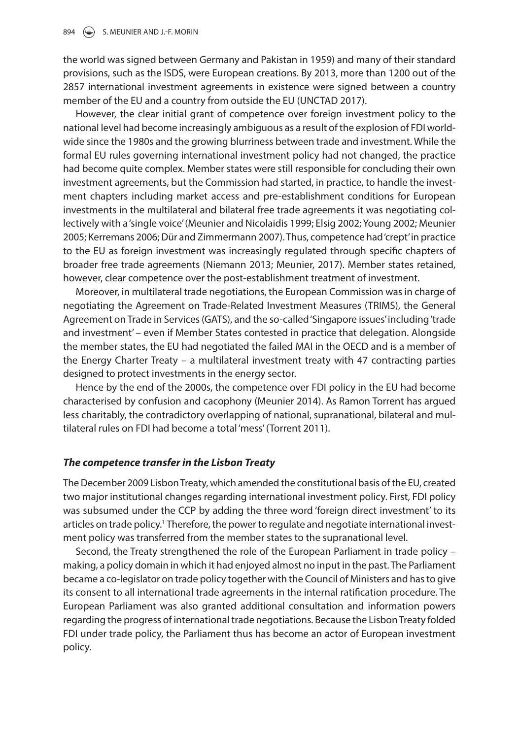the world was signed between Germany and Pakistan in 1959) and many of their standard provisions, such as the ISDS, were European creations. By 2013, more than 1200 out of the 2857 international investment agreements in existence were signed between a country member of the EU and a country from outside the EU (UNCTAD 2017).

 However, the clear initial grant of competence over foreign investment policy to the national level had become increasingly ambiguous as a result of the explosion of FDI worldwide since the 1980s and the growing blurriness between trade and investment. While the formal EU rules governing international investment policy had not changed, the practice had become quite complex. Member states were still responsible for concluding their own investment agreements, but the Commission had started, in practice, to handle the investment chapters including market access and pre-establishment conditions for European investments in the multilateral and bilateral free trade agreements it was negotiating collectively with a 'single voice' (Meunier and Nicolaidis 1999; Elsig 2002; Young 2002; Meunier 2005; Kerremans 2006; Dür and Zimmermann 2007). Thus, competence had 'crept' in practice to the EU as foreign investment was increasingly regulated through specific chapters of broader free trade agreements (Niemann 2013 ; Meunier, 2017 ). Member states retained, however, clear competence over the post-establishment treatment of investment.

 Moreover, in multilateral trade negotiations, the European Commission was in charge of negotiating the Agreement on Trade-Related Investment Measures (TRIMS), the General Agreement on Trade in Services (GATS), and the so-called 'Singapore issues' including 'trade and investment' – even if Member States contested in practice that delegation. Alongside the member states, the EU had negotiated the failed MAI in the OECD and is a member of the Energy Charter Treaty – a multilateral investment treaty with 47 contracting parties designed to protect investments in the energy sector.

 Hence by the end of the 2000s, the competence over FDI policy in the EU had become characterised by confusion and cacophony (Meunier 2014 ). As Ramon Torrent has argued less charitably, the contradictory overlapping of national, supranational, bilateral and multilateral rules on FDI had become a total 'mess' (Torrent 2011 ).

### **The competence transfer in the Lisbon Treaty**

 The December 2009 Lisbon Treaty, which amended the constitutional basis of the EU, created two major institutional changes regarding international investment policy. First, FDI policy was subsumed under the CCP by adding the three word 'foreign direct investment' to its articles on trade policy.<sup>1</sup> Therefore, the power to regulate and negotiate international investment policy was transferred from the member states to the supranational level.

 Second, the Treaty strengthened the role of the European Parliament in trade policy – making, a policy domain in which it had enjoyed almost no input in the past. The Parliament became a co-legislator on trade policy together with the Council of Ministers and has to give its consent to all international trade agreements in the internal ratification procedure. The European Parliament was also granted additional consultation and information powers regarding the progress of international trade negotiations. Because the Lisbon Treaty folded FDI under trade policy, the Parliament thus has become an actor of European investment policy.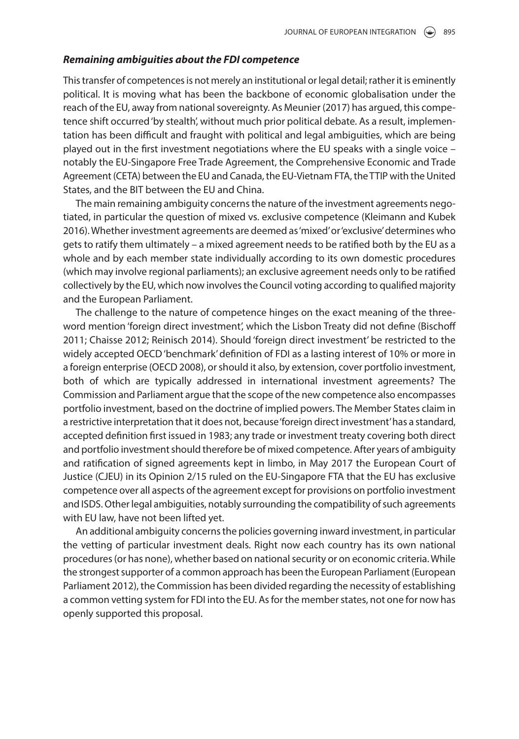#### **Remaining ambiguities about the FDI competence**

 This transfer of competences is not merely an institutional or legal detail; rather it is eminently political. It is moving what has been the backbone of economic globalisation under the reach of the EU, away from national sovereignty. As Meunier ( 2017 ) has argued, this competence shift occurred 'by stealth', without much prior political debate. As a result, implementation has been difficult and fraught with political and legal ambiguities, which are being played out in the first investment negotiations where the EU speaks with a single voice – notably the EU-Singapore Free Trade Agreement, the Comprehensive Economic and Trade Agreement (CETA) between the EU and Canada, the EU-Vietnam FTA, the TTIP with the United States, and the BIT between the EU and China.

 The main remaining ambiguity concerns the nature of the investment agreements negotiated, in particular the question of mixed vs. exclusive competence (Kleimann and Kubek 2016 ). Whether investment agreements are deemed as 'mixed' or 'exclusive' determines who gets to ratify them ultimately – a mixed agreement needs to be ratified both by the EU as a whole and by each member state individually according to its own domestic procedures (which may involve regional parliaments); an exclusive agreement needs only to be ratified collectively by the EU, which now involves the Council voting according to qualified majority and the European Parliament.

 The challenge to the nature of competence hinges on the exact meaning of the threeword mention 'foreign direct investment', which the Lisbon Treaty did not define (Bischoff 2011; Chaisse 2012; Reinisch 2014). Should 'foreign direct investment' be restricted to the widely accepted OECD 'benchmark' definition of FDI as a lasting interest of 10% or more in a foreign enterprise (OECD 2008), or should it also, by extension, cover portfolio investment, both of which are typically addressed in international investment agreements? The Commission and Parliament argue that the scope of the new competence also encompasses portfolio investment, based on the doctrine of implied powers. The Member States claim in a restrictive interpretation that it does not, because 'foreign direct investment' has a standard, accepted definition first issued in 1983; any trade or investment treaty covering both direct and portfolio investment should therefore be of mixed competence. After years of ambiguity and ratification of signed agreements kept in limbo, in May 2017 the European Court of Justice (CJEU) in its Opinion 2/15 ruled on the EU-Singapore FTA that the EU has exclusive competence over all aspects of the agreement except for provisions on portfolio investment and ISDS. Other legal ambiguities, notably surrounding the compatibility of such agreements with EU law, have not been lifted yet.

 An additional ambiguity concerns the policies governing inward investment, in particular the vetting of particular investment deals. Right now each country has its own national procedures (or has none), whether based on national security or on economic criteria. While the strongest supporter of a common approach has been the European Parliament (European Parliament 2012), the Commission has been divided regarding the necessity of establishing a common vetting system for FDI into the EU. As for the member states, not one for now has openly supported this proposal.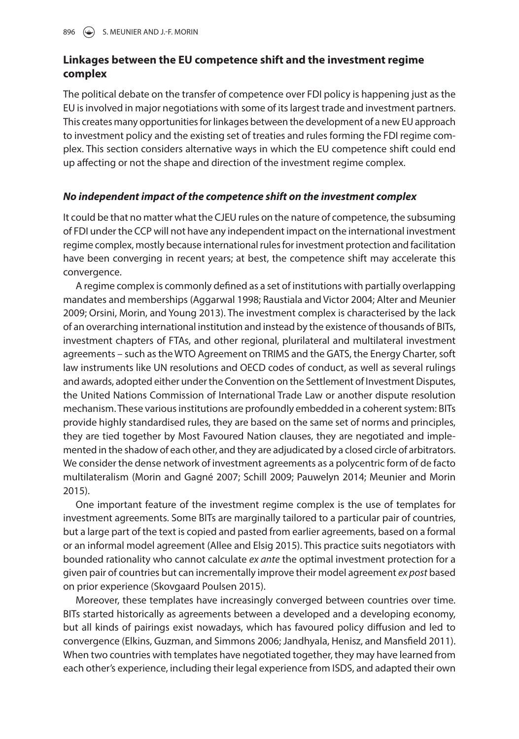# **Linkages between the EU competence shift and the investment regime complex**

 The political debate on the transfer of competence over FDI policy is happening just as the EU is involved in major negotiations with some of its largest trade and investment partners. This creates many opportunities for linkages between the development of a new EU approach to investment policy and the existing set of treaties and rules forming the FDI regime complex. This section considers alternative ways in which the EU competence shift could end up affecting or not the shape and direction of the investment regime complex.

# **No independent impact of the competence shift on the investment complex**

 It could be that no matter what the CJEU rules on the nature of competence, the subsuming of FDI under the CCP will not have any independent impact on the international investment regime complex, mostly because international rules for investment protection and facilitation have been converging in recent years; at best, the competence shift may accelerate this convergence.

 A regime complex is commonly defined as a set of institutions with partially overlapping mandates and memberships (Aggarwal 1998; Raustiala and Victor 2004; Alter and Meunier 2009; Orsini, Morin, and Young 2013). The investment complex is characterised by the lack of an overarching international institution and instead by the existence of thousands of BITs, investment chapters of FTAs, and other regional, plurilateral and multilateral investment agreements – such as the WTO Agreement on TRIMS and the GATS, the Energy Charter, soft law instruments like UN resolutions and OECD codes of conduct, as well as several rulings and awards, adopted either under the Convention on the Settlement of Investment Disputes, the United Nations Commission of International Trade Law or another dispute resolution mechanism. These various institutions are profoundly embedded in a coherent system: BITs provide highly standardised rules, they are based on the same set of norms and principles, they are tied together by Most Favoured Nation clauses, they are negotiated and implemented in the shadow of each other, and they are adjudicated by a closed circle of arbitrators. We consider the dense network of investment agreements as a polycentric form of de facto multilateralism (Morin and Gagné 2007; Schill 2009; Pauwelyn 2014; Meunier and Morin  $2015$ ).

 One important feature of the investment regime complex is the use of templates for investment agreements. Some BITs are marginally tailored to a particular pair of countries, but a large part of the text is copied and pasted from earlier agreements, based on a formal or an informal model agreement (Allee and Elsig 2015 ). This practice suits negotiators with bounded rationality who cannot calculate ex ante the optimal investment protection for a given pair of countries but can incrementally improve their model agreement ex post based on prior experience (Skovgaard Poulsen 2015).

 Moreover, these templates have increasingly converged between countries over time. BITs started historically as agreements between a developed and a developing economy, but all kinds of pairings exist nowadays, which has favoured policy diffusion and led to convergence (Elkins, Guzman, and Simmons 2006; Jandhyala, Henisz, and Mansfield 2011). When two countries with templates have negotiated together, they may have learned from each other's experience, including their legal experience from ISDS, and adapted their own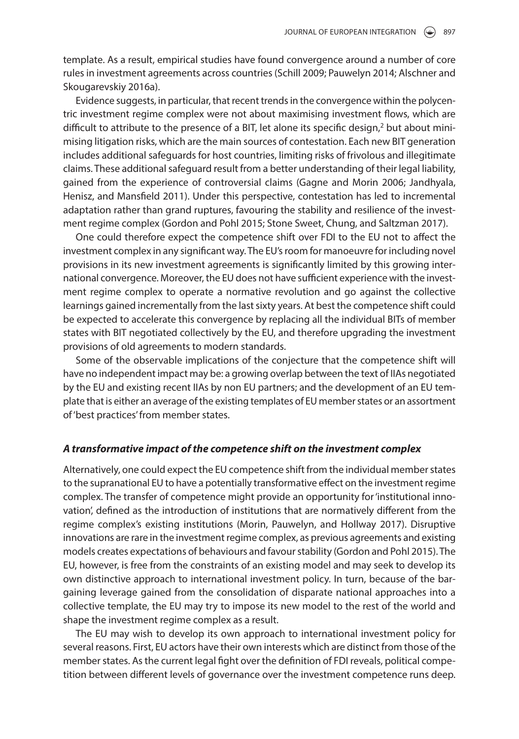template. As a result, empirical studies have found convergence around a number of core rules in investment agreements across countries (Schill 2009 ; Pauwelyn 2014 ; Alschner and Skougarevskiy 2016a).

 Evidence suggests, in particular, that recent trends in the convergence within the polycentric investment regime complex were not about maximising investment flows, which are difficult to attribute to the presence of a BIT, let alone its specific design, $^2$  but about minimising litigation risks, which are the main sources of contestation. Each new BIT generation includes additional safeguards for host countries, limiting risks of frivolous and illegitimate claims. These additional safeguard result from a better understanding of their legal liability, gained from the experience of controversial claims (Gagne and Morin 2006; Jandhyala, Henisz, and Mansfield 2011). Under this perspective, contestation has led to incremental adaptation rather than grand ruptures, favouring the stability and resilience of the investment regime complex (Gordon and Pohl 2015; Stone Sweet, Chung, and Saltzman 2017).

 One could therefore expect the competence shift over FDI to the EU not to affect the investment complex in any significant way. The EU's room for manoeuvre for including novel provisions in its new investment agreements is significantly limited by this growing international convergence. Moreover, the EU does not have sufficient experience with the investment regime complex to operate a normative revolution and go against the collective learnings gained incrementally from the last sixty years. At best the competence shift could be expected to accelerate this convergence by replacing all the individual BITs of member states with BIT negotiated collectively by the EU, and therefore upgrading the investment provisions of old agreements to modern standards.

 Some of the observable implications of the conjecture that the competence shift will have no independent impact may be: a growing overlap between the text of IIAs negotiated by the EU and existing recent IIAs by non EU partners; and the development of an EU template that is either an average of the existing templates of EU member states or an assortment of 'best practices' from member states.

#### **A transformative impact of the competence shift on the investment complex**

 Alternatively, one could expect the EU competence shift from the individual member states to the supranational EU to have a potentially transformative effect on the investment regime complex. The transfer of competence might provide an opportunity for 'institutional innovation', defined as the introduction of institutions that are normatively different from the regime complex's existing institutions (Morin, Pauwelyn, and Hollway 2017). Disruptive innovations are rare in the investment regime complex, as previous agreements and existing models creates expectations of behaviours and favour stability (Gordon and Pohl 2015 ). The EU, however, is free from the constraints of an existing model and may seek to develop its own distinctive approach to international investment policy. In turn, because of the bargaining leverage gained from the consolidation of disparate national approaches into a collective template, the EU may try to impose its new model to the rest of the world and shape the investment regime complex as a result.

 The EU may wish to develop its own approach to international investment policy for several reasons. First, EU actors have their own interests which are distinct from those of the member states. As the current legal fight over the definition of FDI reveals, political competition between different levels of governance over the investment competence runs deep.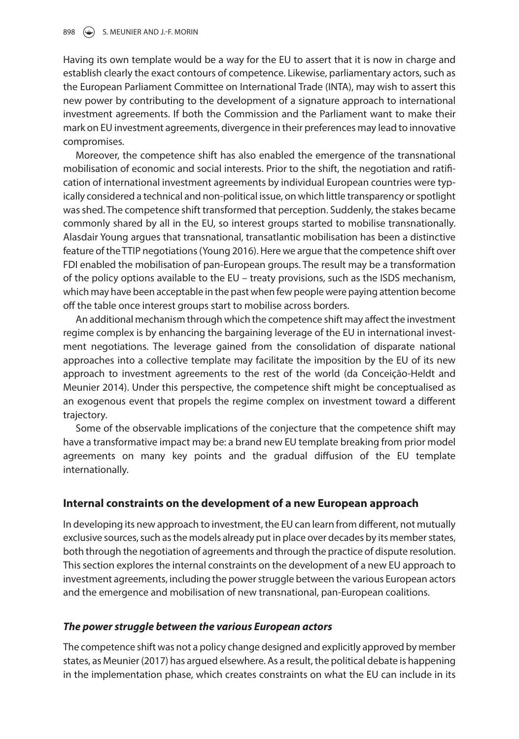Having its own template would be a way for the EU to assert that it is now in charge and establish clearly the exact contours of competence. Likewise, parliamentary actors, such as the European Parliament Committee on International Trade (INTA), may wish to assert this new power by contributing to the development of a signature approach to international investment agreements. If both the Commission and the Parliament want to make their mark on EU investment agreements, divergence in their preferences may lead to innovative compromises.

 Moreover, the competence shift has also enabled the emergence of the transnational mobilisation of economic and social interests. Prior to the shift, the negotiation and ratification of international investment agreements by individual European countries were typically considered a technical and non-political issue, on which little transparency or spotlight was shed. The competence shift transformed that perception. Suddenly, the stakes became commonly shared by all in the EU, so interest groups started to mobilise transnationally. Alasdair Young argues that transnational, transatlantic mobilisation has been a distinctive feature of the TTIP negotiations (Young 2016). Here we argue that the competence shift over FDI enabled the mobilisation of pan-European groups. The result may be a transformation of the policy options available to the EU – treaty provisions, such as the ISDS mechanism, which may have been acceptable in the past when few people were paying attention become off the table once interest groups start to mobilise across borders.

 An additional mechanism through which the competence shift may affect the investment regime complex is by enhancing the bargaining leverage of the EU in international investment negotiations. The leverage gained from the consolidation of disparate national approaches into a collective template may facilitate the imposition by the EU of its new approach to investment agreements to the rest of the world (da Conceição-Heldt and Meunier 2014). Under this perspective, the competence shift might be conceptualised as an exogenous event that propels the regime complex on investment toward a different trajectory.

 Some of the observable implications of the conjecture that the competence shift may have a transformative impact may be: a brand new EU template breaking from prior model agreements on many key points and the gradual diffusion of the EU template internationally.

# **Internal constraints on the development of a new European approach**

 In developing its new approach to investment, the EU can learn from different, not mutually exclusive sources, such as the models already put in place over decades by its member states, both through the negotiation of agreements and through the practice of dispute resolution. This section explores the internal constraints on the development of a new EU approach to investment agreements, including the power struggle between the various European actors and the emergence and mobilisation of new transnational, pan-European coalitions.

### **The power struggle between the various European actors**

 The competence shift was not a policy change designed and explicitly approved by member states, as Meunier ( 2017 ) has argued elsewhere. As a result, the political debate is happening in the implementation phase, which creates constraints on what the EU can include in its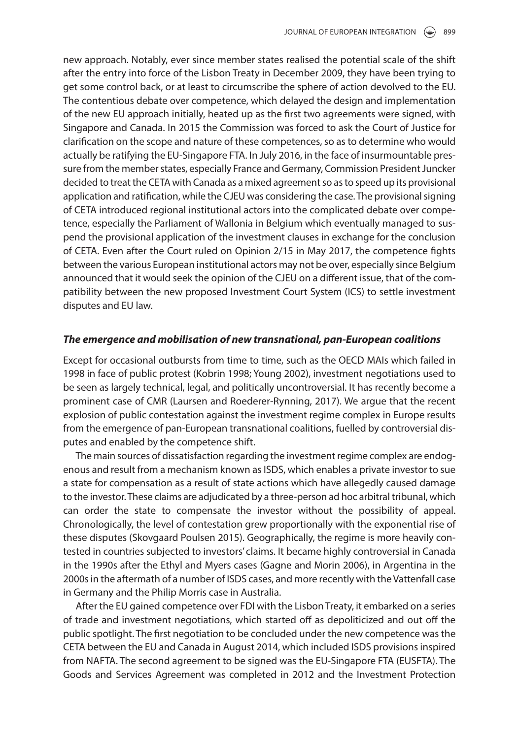new approach. Notably, ever since member states realised the potential scale of the shift after the entry into force of the Lisbon Treaty in December 2009, they have been trying to get some control back, or at least to circumscribe the sphere of action devolved to the EU. The contentious debate over competence, which delayed the design and implementation of the new EU approach initially, heated up as the first two agreements were signed, with Singapore and Canada. In 2015 the Commission was forced to ask the Court of Justice for clarification on the scope and nature of these competences, so as to determine who would actually be ratifying the EU-Singapore FTA. In July 2016, in the face of insurmountable pressure from the member states, especially France and Germany, Commission President Juncker decided to treat the CETA with Canada as a mixed agreement so as to speed up its provisional application and ratification, while the CJEU was considering the case. The provisional signing of CETA introduced regional institutional actors into the complicated debate over competence, especially the Parliament of Wallonia in Belgium which eventually managed to suspend the provisional application of the investment clauses in exchange for the conclusion of CETA. Even after the Court ruled on Opinion 2/15 in May 2017, the competence fights between the various European institutional actors may not be over, especially since Belgium announced that it would seek the opinion of the CJEU on a different issue, that of the compatibility between the new proposed Investment Court System (ICS) to settle investment disputes and EU law.

#### **The emergence and mobilisation of new transnational, pan-European coalitions**

 Except for occasional outbursts from time to time, such as the OECD MAIs which failed in 1998 in face of public protest (Kobrin 1998; Young 2002), investment negotiations used to be seen as largely technical, legal, and politically uncontroversial. It has recently become a prominent case of CMR (Laursen and Roederer-Rynning, 2017 ). We argue that the recent explosion of public contestation against the investment regime complex in Europe results from the emergence of pan-European transnational coalitions, fuelled by controversial disputes and enabled by the competence shift.

 The main sources of dissatisfaction regarding the investment regime complex are endogenous and result from a mechanism known as ISDS, which enables a private investor to sue a state for compensation as a result of state actions which have allegedly caused damage to the investor. These claims are adjudicated by a three-person ad hoc arbitral tribunal, which can order the state to compensate the investor without the possibility of appeal. Chronologically, the level of contestation grew proportionally with the exponential rise of these disputes (Skovgaard Poulsen 2015 ). Geographically, the regime is more heavily contested in countries subjected to investors' claims. It became highly controversial in Canada in the 1990s after the Ethyl and Myers cases (Gagne and Morin 2006), in Argentina in the 2000s in the aftermath of a number of ISDS cases, and more recently with the Vattenfall case in Germany and the Philip Morris case in Australia.

 After the EU gained competence over FDI with the Lisbon Treaty, it embarked on a series of trade and investment negotiations, which started off as depoliticized and out off the public spotlight. The first negotiation to be concluded under the new competence was the CETA between the EU and Canada in August 2014, which included ISDS provisions inspired from NAFTA. The second agreement to be signed was the EU-Singapore FTA (EUSFTA). The Goods and Services Agreement was completed in 2012 and the Investment Protection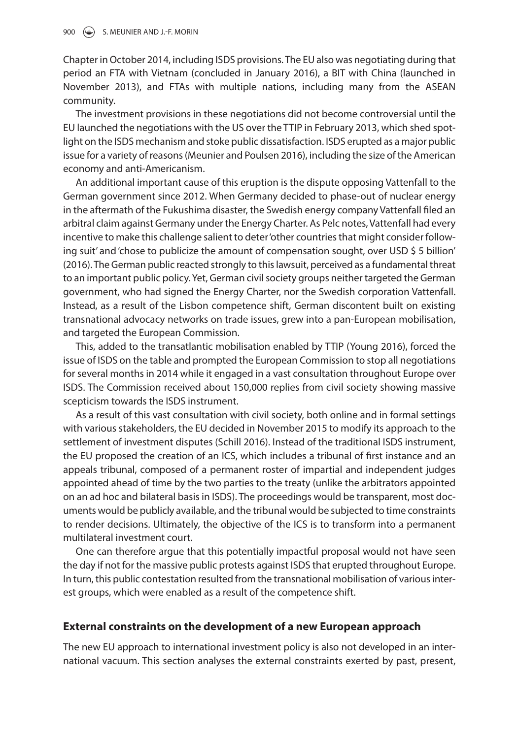Chapter in October 2014, including ISDS provisions. The EU also was negotiating during that period an FTA with Vietnam (concluded in January 2016), a BIT with China (launched in November 2013), and FTAs with multiple nations, including many from the ASEAN community.

 The investment provisions in these negotiations did not become controversial until the EU launched the negotiations with the US over the TTIP in February 2013, which shed spotlight on the ISDS mechanism and stoke public dissatisfaction. ISDS erupted as a major public issue for a variety of reasons (Meunier and Poulsen 2016), including the size of the American economy and anti-Americanism.

 An additional important cause of this eruption is the dispute opposing Vattenfall to the German government since 2012. When Germany decided to phase-out of nuclear energy in the aftermath of the Fukushima disaster, the Swedish energy company Vattenfall filed an arbitral claim against Germany under the Energy Charter. As Pelc notes, Vattenfall had every incentive to make this challenge salient to deter 'other countries that might consider following suit' and 'chose to publicize the amount of compensation sought, over USD \$ 5 billion' (2016). The German public reacted strongly to this lawsuit, perceived as a fundamental threat to an important public policy. Yet, German civil society groups neither targeted the German government, who had signed the Energy Charter, nor the Swedish corporation Vattenfall. Instead, as a result of the Lisbon competence shift, German discontent built on existing transnational advocacy networks on trade issues, grew into a pan-European mobilisation, and targeted the European Commission.

This, added to the transatlantic mobilisation enabled by TTIP (Young 2016), forced the issue of ISDS on the table and prompted the European Commission to stop all negotiations for several months in 2014 while it engaged in a vast consultation throughout Europe over ISDS. The Commission received about 150,000 replies from civil society showing massive scepticism towards the ISDS instrument.

 As a result of this vast consultation with civil society, both online and in formal settings with various stakeholders, the EU decided in November 2015 to modify its approach to the settlement of investment disputes (Schill 2016 ). Instead of the traditional ISDS instrument, the EU proposed the creation of an ICS, which includes a tribunal of first instance and an appeals tribunal, composed of a permanent roster of impartial and independent judges appointed ahead of time by the two parties to the treaty (unlike the arbitrators appointed on an ad hoc and bilateral basis in ISDS). The proceedings would be transparent, most documents would be publicly available, and the tribunal would be subjected to time constraints to render decisions. Ultimately, the objective of the ICS is to transform into a permanent multilateral investment court.

 One can therefore argue that this potentially impactful proposal would not have seen the day if not for the massive public protests against ISDS that erupted throughout Europe. In turn, this public contestation resulted from the transnational mobilisation of various interest groups, which were enabled as a result of the competence shift.

# **External constraints on the development of a new European approach**

 The new EU approach to international investment policy is also not developed in an international vacuum. This section analyses the external constraints exerted by past, present,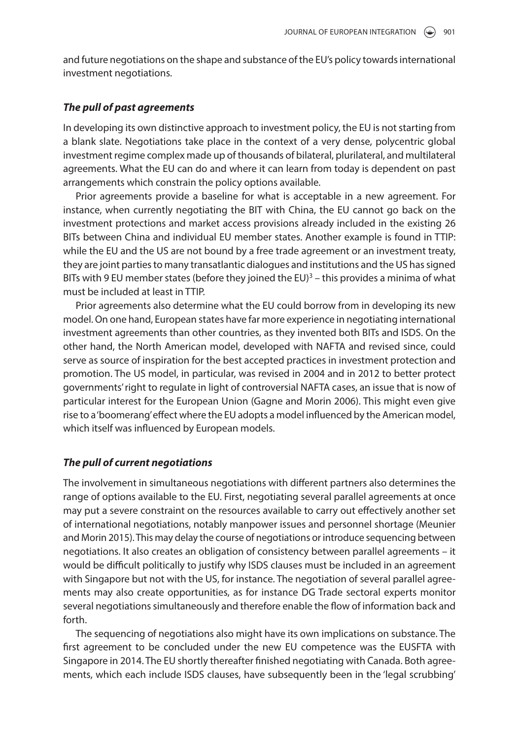and future negotiations on the shape and substance of the EU's policy towards international investment negotiations.

#### **The pull of past agreements**

 In developing its own distinctive approach to investment policy, the EU is not starting from a blank slate. Negotiations take place in the context of a very dense, polycentric global investment regime complex made up of thousands of bilateral, plurilateral, and multilateral agreements. What the EU can do and where it can learn from today is dependent on past arrangements which constrain the policy options available.

 Prior agreements provide a baseline for what is acceptable in a new agreement. For instance, when currently negotiating the BIT with China, the EU cannot go back on the investment protections and market access provisions already included in the existing 26 BITs between China and individual EU member states. Another example is found in TTIP: while the EU and the US are not bound by a free trade agreement or an investment treaty, they are joint parties to many transatlantic dialogues and institutions and the US has signed BITs with 9 EU member states (before they joined the EU) $3$  – this provides a minima of what must be included at least in TTIP.

 Prior agreements also determine what the EU could borrow from in developing its new model. On one hand, European states have far more experience in negotiating international investment agreements than other countries, as they invented both BITs and ISDS. On the other hand, the North American model, developed with NAFTA and revised since, could serve as source of inspiration for the best accepted practices in investment protection and promotion. The US model, in particular, was revised in 2004 and in 2012 to better protect governments' right to regulate in light of controversial NAFTA cases, an issue that is now of particular interest for the European Union (Gagne and Morin 2006). This might even give rise to a 'boomerang' effect where the EU adopts a model influenced by the American model, which itself was influenced by European models.

#### **The pull of current negotiations**

 The involvement in simultaneous negotiations with different partners also determines the range of options available to the EU. First, negotiating several parallel agreements at once may put a severe constraint on the resources available to carry out effectively another set of international negotiations, notably manpower issues and personnel shortage (Meunier and Morin 2015 ). This may delay the course of negotiations or introduce sequencing between negotiations. It also creates an obligation of consistency between parallel agreements – it would be difficult politically to justify why ISDS clauses must be included in an agreement with Singapore but not with the US, for instance. The negotiation of several parallel agreements may also create opportunities, as for instance DG Trade sectoral experts monitor several negotiations simultaneously and therefore enable the flow of information back and forth.

 The sequencing of negotiations also might have its own implications on substance. The first agreement to be concluded under the new EU competence was the EUSFTA with Singapore in 2014. The EU shortly thereafter finished negotiating with Canada. Both agreements, which each include ISDS clauses, have subsequently been in the 'legal scrubbing'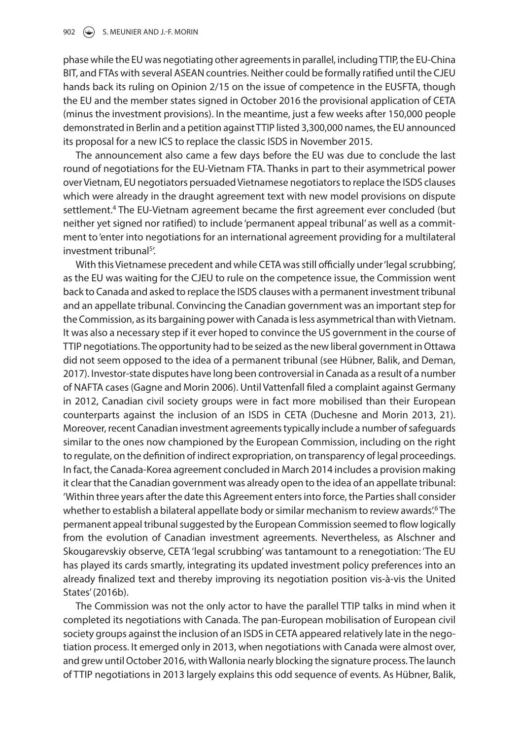phase while the EU was negotiating other agreements in parallel, including TTIP, the EU-China BIT, and FTAs with several ASEAN countries. Neither could be formally ratified until the CJEU hands back its ruling on Opinion 2/15 on the issue of competence in the EUSFTA, though the EU and the member states signed in October 2016 the provisional application of CETA (minus the investment provisions). In the meantime, just a few weeks after 150,000 people demonstrated in Berlin and a petition against TTIP listed 3,300,000 names, the EU announced its proposal for a new ICS to replace the classic ISDS in November 2015.

 The announcement also came a few days before the EU was due to conclude the last round of negotiations for the EU-Vietnam FTA. Thanks in part to their asymmetrical power over Vietnam, EU negotiators persuaded Vietnamese negotiators to replace the ISDS clauses which were already in the draught agreement text with new model provisions on dispute settlement.<sup>4</sup> The EU-Vietnam agreement became the first agreement ever concluded (but neither yet signed nor ratified) to include 'permanent appeal tribunal' as well as a commitment to 'enter into negotiations for an international agreement providing for a multilateral investment tribunal<sup>5</sup>'.

 With this Vietnamese precedent and while CETA was still officially under 'legal scrubbing', as the EU was waiting for the CJEU to rule on the competence issue, the Commission went back to Canada and asked to replace the ISDS clauses with a permanent investment tribunal and an appellate tribunal. Convincing the Canadian government was an important step for the Commission, as its bargaining power with Canada is less asymmetrical than with Vietnam. It was also a necessary step if it ever hoped to convince the US government in the course of TTIP negotiations. The opportunity had to be seized as the new liberal government in Ottawa did not seem opposed to the idea of a permanent tribunal (see Hübner, Balik, and Deman, 2017 ). Investor-state disputes have long been controversial in Canada as a result of a number of NAFTA cases (Gagne and Morin 2006 ). Until Vattenfall filed a complaint against Germany in 2012, Canadian civil society groups were in fact more mobilised than their European counterparts against the inclusion of an ISDS in CETA (Duchesne and Morin 2013, 21). Moreover, recent Canadian investment agreements typically include a number of safeguards similar to the ones now championed by the European Commission, including on the right to regulate, on the definition of indirect expropriation, on transparency of legal proceedings. In fact, the Canada-Korea agreement concluded in March 2014 includes a provision making it clear that the Canadian government was already open to the idea of an appellate tribunal: 'Within three years after the date this Agreement enters into force, the Parties shall consider whether to establish a bilateral appellate body or similar mechanism to review awards.<sup>6</sup> The permanent appeal tribunal suggested by the European Commission seemed to flow logically from the evolution of Canadian investment agreements. Nevertheless, as Alschner and Skougarevskiy observe, CETA 'legal scrubbing' was tantamount to a renegotiation: 'The EU has played its cards smartly, integrating its updated investment policy preferences into an already finalized text and thereby improving its negotiation position vis-à-vis the United States' (2016b).

 The Commission was not the only actor to have the parallel TTIP talks in mind when it completed its negotiations with Canada. The pan-European mobilisation of European civil society groups against the inclusion of an ISDS in CETA appeared relatively late in the negotiation process. It emerged only in 2013, when negotiations with Canada were almost over, and grew until October 2016, with Wallonia nearly blocking the signature process. The launch of TTIP negotiations in 2013 largely explains this odd sequence of events. As Hübner, Balik,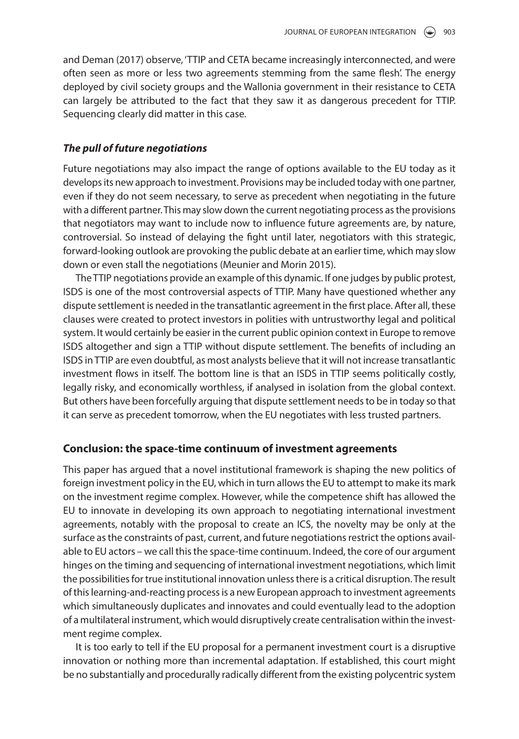and Deman (2017) observe, 'TTIP and CETA became increasingly interconnected, and were often seen as more or less two agreements stemming from the same flesh'. The energy deployed by civil society groups and the Wallonia government in their resistance to CETA can largely be attributed to the fact that they saw it as dangerous precedent for TTIP. Sequencing clearly did matter in this case.

### **The pull of future negotiations**

 Future negotiations may also impact the range of options available to the EU today as it develops its new approach to investment. Provisions may be included today with one partner, even if they do not seem necessary, to serve as precedent when negotiating in the future with a different partner. This may slow down the current negotiating process as the provisions that negotiators may want to include now to influence future agreements are, by nature, controversial. So instead of delaying the fight until later, negotiators with this strategic, forward-looking outlook are provoking the public debate at an earlier time, which may slow down or even stall the negotiations (Meunier and Morin 2015).

 The TTIP negotiations provide an example of this dynamic. If one judges by public protest, ISDS is one of the most controversial aspects of TTIP. Many have questioned whether any dispute settlement is needed in the transatlantic agreement in the first place. After all, these clauses were created to protect investors in polities with untrustworthy legal and political system. It would certainly be easier in the current public opinion context in Europe to remove ISDS altogether and sign a TTIP without dispute settlement. The benefits of including an ISDS in TTIP are even doubtful, as most analysts believe that it will not increase transatlantic investment flows in itself. The bottom line is that an ISDS in TTIP seems politically costly, legally risky, and economically worthless, if analysed in isolation from the global context. But others have been forcefully arguing that dispute settlement needs to be in today so that it can serve as precedent tomorrow, when the EU negotiates with less trusted partners.

### **Conclusion: the space-time continuum of investment agreements**

 This paper has argued that a novel institutional framework is shaping the new politics of foreign investment policy in the EU, which in turn allows the EU to attempt to make its mark on the investment regime complex. However, while the competence shift has allowed the EU to innovate in developing its own approach to negotiating international investment agreements, notably with the proposal to create an ICS, the novelty may be only at the surface as the constraints of past, current, and future negotiations restrict the options available to EU actors – we call this the space-time continuum. Indeed, the core of our argument hinges on the timing and sequencing of international investment negotiations, which limit the possibilities for true institutional innovation unless there is a critical disruption. The result of this learning-and-reacting process is a new European approach to investment agreements which simultaneously duplicates and innovates and could eventually lead to the adoption of a multilateral instrument, which would disruptively create centralisation within the investment regime complex.

 It is too early to tell if the EU proposal for a permanent investment court is a disruptive innovation or nothing more than incremental adaptation. If established, this court might be no substantially and procedurally radically different from the existing polycentric system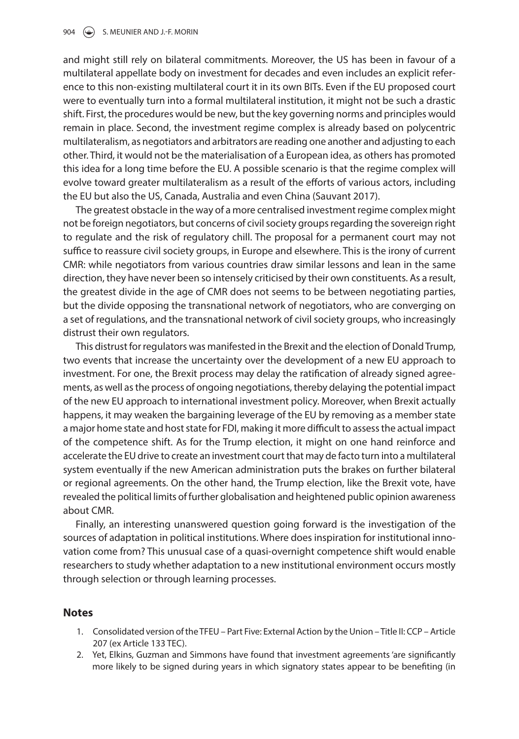and might still rely on bilateral commitments. Moreover, the US has been in favour of a multilateral appellate body on investment for decades and even includes an explicit reference to this non-existing multilateral court it in its own BITs. Even if the EU proposed court were to eventually turn into a formal multilateral institution, it might not be such a drastic shift. First, the procedures would be new, but the key governing norms and principles would remain in place. Second, the investment regime complex is already based on polycentric multilateralism, as negotiators and arbitrators are reading one another and adjusting to each other. Third, it would not be the materialisation of a European idea, as others has promoted this idea for a long time before the EU. A possible scenario is that the regime complex will evolve toward greater multilateralism as a result of the efforts of various actors, including the EU but also the US, Canada, Australia and even China (Sauvant 2017).

 The greatest obstacle in the way of a more centralised investment regime complex might not be foreign negotiators, but concerns of civil society groups regarding the sovereign right to regulate and the risk of regulatory chill. The proposal for a permanent court may not suffice to reassure civil society groups, in Europe and elsewhere. This is the irony of current CMR: while negotiators from various countries draw similar lessons and lean in the same direction, they have never been so intensely criticised by their own constituents. As a result, the greatest divide in the age of CMR does not seems to be between negotiating parties, but the divide opposing the transnational network of negotiators, who are converging on a set of regulations, and the transnational network of civil society groups, who increasingly distrust their own regulators.

 This distrust for regulators was manifested in the Brexit and the election of Donald Trump, two events that increase the uncertainty over the development of a new EU approach to investment. For one, the Brexit process may delay the ratification of already signed agreements, as well as the process of ongoing negotiations, thereby delaying the potential impact of the new EU approach to international investment policy. Moreover, when Brexit actually happens, it may weaken the bargaining leverage of the EU by removing as a member state a major home state and host state for FDI, making it more difficult to assess the actual impact of the competence shift. As for the Trump election, it might on one hand reinforce and accelerate the EU drive to create an investment court that may de facto turn into a multilateral system eventually if the new American administration puts the brakes on further bilateral or regional agreements. On the other hand, the Trump election, like the Brexit vote, have revealed the political limits of further globalisation and heightened public opinion awareness about CMR.

 Finally, an interesting unanswered question going forward is the investigation of the sources of adaptation in political institutions. Where does inspiration for institutional innovation come from? This unusual case of a quasi-overnight competence shift would enable researchers to study whether adaptation to a new institutional environment occurs mostly through selection or through learning processes.

### **Notes**

- 1. Consolidated version of the TFEU Part Five: External Action by the Union Title II: CCP Article 207 (ex Article 133 TEC).
- 2. Yet, Elkins, Guzman and Simmons have found that investment agreements 'are significantly more likely to be signed during years in which signatory states appear to be benefiting (in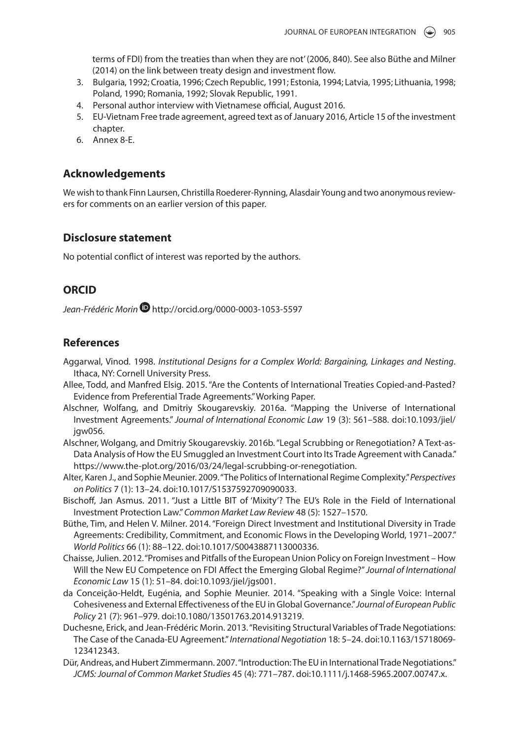terms of FDI) from the treaties than when they are not' (2006, 840). See also Büthe and Milner (2014) on the link between treaty design and investment flow.

- 3. Bulgaria, 1992; Croatia, 1996; Czech Republic, 1991; Estonia, 1994; Latvia, 1995; Lithuania, 1998; Poland, 1990; Romania, 1992; Slovak Republic, 1991.
- 4. Personal author interview with Vietnamese official, August 2016.
- 5. EU-Vietnam Free trade agreement, agreed text as of January 2016, Article 15 of the investment chapter.
- 6. Annex 8-E.

# **Acknowledgements**

 We wish to thank Finn Laursen, Christilla Roederer-Rynning, Alasdair Young and two anonymous reviewers for comments on an earlier version of this paper.

# **Disclosure statement**

No potential conflict of interest was reported by the authors.

# **ORCID**

Jean-Frédéric Morin <sup>1</sup> http://orcid.org/0000-0003-1053-5597

# **References**

- Aggarwal, Vinod. 1998. Institutional Designs for a Complex World: Bargaining, Linkages and Nesting. Ithaca, NY: Cornell University Press.
- Allee, Todd, and Manfred Elsig. 2015. "Are the Contents of International Treaties Copied-and-Pasted? Evidence from Preferential Trade Agreements." Working Paper.
- Alschner, Wolfang, and Dmitriy Skougarevskiy. 2016a. "Mapping the Universe of International Investment Agreements." Journal of International Economic Law 19 (3): 561-588. doi:10.1093/jiel/ igw056.
- Alschner, Wolgang, and Dmitriy Skougarevskiy. 2016b. "Legal Scrubbing or Renegotiation? A Text-as-Data Analysis of How the EU Smuggled an Investment Court into Its Trade Agreement with Canada." https://www.the-plot.org/2016/03/24/legal-scrubbing-or-renegotiation.
- Alter, Karen J., and Sophie Meunier. 2009. "The Politics of International Regime Complexity." Perspectives on Politics 7 (1): 13-24. doi:10.1017/S1537592709090033.
- Bischoff, Jan Asmus. 2011. "Just a Little BIT of 'Mixity'? The EU's Role in the Field of International Investment Protection Law." Common Market Law Review 48 (5): 1527-1570.
- Büthe, Tim, and Helen V. Milner. 2014. "Foreign Direct Investment and Institutional Diversity in Trade Agreements: Credibility, Commitment, and Economic Flows in the Developing World, 1971–2007." World Politics 66 (1): 88-122. doi:10.1017/S0043887113000336.
- Chaisse , Julien . 2012 . " Promises and Pitfalls of the European Union Policy on Foreign Investment How Will the New EU Competence on FDI Affect the Emerging Global Regime?" Journal of International Economic Law 15 (1): 51-84. doi:10.1093/jiel/jgs001.
- da Conceição-Heldt, Eugénia, and Sophie Meunier. 2014. "Speaking with a Single Voice: Internal Cohesiveness and External Effectiveness of the EU in Global Governance." Journal of European Public Policy 21 (7): 961-979. doi:10.1080/13501763.2014.913219.
- Duchesne , Erick , and Jean-Frédéric Morin . 2013 . " Revisiting Structural Variables of Trade Negotiations: The Case of the Canada-EU Agreement." International Negotiation 18: 5-24. doi:10.1163/15718069-123412343.
- Dür, Andreas, and Hubert Zimmermann. 2007. "Introduction: The EU in International Trade Negotiations." JCMS: Journal of Common Market Studies 45 ( 4 ): 771 – 787 . doi: 10.1111/j.1468-5965.2007.00747.x .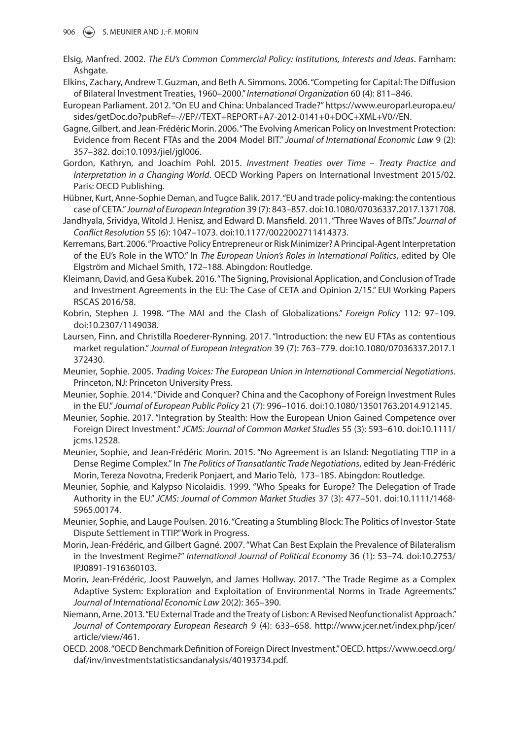- Elsig, Manfred. 2002. The EU's Common Commercial Policy: Institutions, Interests and Ideas. Farnham: Ashaate.
- Elkins, Zachary, Andrew T. Guzman, and Beth A. Simmons. 2006. "Competing for Capital: The Diffusion of Bilateral Investment Treaties, 1960–2000." International Organization 60 (4): 811-846.
- European Parliament. 2012. "On EU and China: Unbalanced Trade?" https://www.europarl.europa.eu/ sides/getDoc.do?pubRef=-//EP//TEXT+REPORT+A7-2012-0141+0+DOC+XML+V0//EN.
- Gagne, Gilbert, and Jean-Frédéric Morin. 2006. "The Evolving American Policy on Investment Protection: Evidence from Recent FTAs and the 2004 Model BIT." Journal of International Economic Law 9 (2): 357-382. doi:10.1093/iiel/jal006.
- Gordon, Kathryn, and Joachim Pohl. 2015. Investment Treaties over Time Treaty Practice and Interpretation in a Changing World. OECD Working Papers on International Investment 2015/02. Paris: OECD Publishing.
- Hübner, Kurt, Anne-Sophie Deman, and Tugce Balik. 2017. "EU and trade policy-making: the contentious case of CETA." Journal of European Integration 39 (7): 843-857. doi:10.1080/07036337.2017.1371708.
- Jandhyala, Srividya, Witold J. Henisz, and Edward D. Mansfield. 2011. "Three Waves of BITs." Journal of Conflict Resolution 55 (6): 1047-1073. doi:10.1177/0022002711414373.
- Kerremans, Bart. 2006. "Proactive Policy Entrepreneur or Risk Minimizer? A Principal-Agent Interpretation of the EU's Role in the WTO." In *The European Union's Roles in International Politics*, edited by Ole Elgström and Michael Smith, 172-188. Abingdon: Routledge.
- Kleimann, David, and Gesa Kubek. 2016. "The Signing, Provisional Application, and Conclusion of Trade and Investment Agreements in the EU: The Case of CETA and Opinion 2/15." EUI Working Papers RSCAS 2016/58.
- Kobrin, Stephen J. 1998. "The MAI and the Clash of Globalizations." Foreign Policy 112: 97-109. doi: 10.2307/1149038 .
- Laursen, Finn, and Christilla Roederer-Rynning. 2017. "Introduction: the new EU FTAs as contentious market regulation." Journal of European Integration 39 (7): 763-779. doi:10.1080/07036337.2017.1 372430.
- Meunier, Sophie. 2005. Trading Voices: The European Union in International Commercial Negotiations. Princeton, NJ: Princeton University Press.
- Meunier, Sophie. 2014. "Divide and Conquer? China and the Cacophony of Foreign Investment Rules in the EU." Journal of European Public Policy 21 (7): 996-1016. doi:10.1080/13501763.2014.912145.
- Meunier, Sophie. 2017. "Integration by Stealth: How the European Union Gained Competence over Foreign Direct Investment." JCMS: Journal of Common Market Studies 55 (3): 593-610. doi:10.1111/ jcms.12528.
- Meunier, Sophie, and Jean-Frédéric Morin. 2015. "No Agreement is an Island: Negotiating TTIP in a Dense Regime Complex." In The Politics of Transatlantic Trade Negotiations, edited by Jean-Frédéric Morin, Tereza Novotna, Frederik Ponjaert, and Mario Telò, 173-185. Abingdon: Routledge.
- Meunier, Sophie, and Kalypso Nicolaidis. 1999. "Who Speaks for Europe? The Delegation of Trade Authority in the EU." JCMS: Journal of Common Market Studies 37 (3): 477-501. doi:10.1111/1468-5965.00174.
- Meunier, Sophie, and Lauge Poulsen. 2016. "Creating a Stumbling Block: The Politics of Investor-State Dispute Settlement in TTIP." Work in Progress.
- Morin, Jean-Frédéric, and Gilbert Gagné. 2007. "What Can Best Explain the Prevalence of Bilateralism in the Investment Regime?" International Journal of Political Economy 36 (1): 53-74. doi:10.2753/ IPJ0891-1916360103.
- Morin, Jean-Frédéric, Joost Pauwelyn, and James Hollway. 2017. "The Trade Regime as a Complex Adaptive System: Exploration and Exploitation of Environmental Norms in Trade Agreements." Journal of International Economic Law 20(2): 365-390.
- Niemann, Arne. 2013. "EU External Trade and the Treaty of Lisbon: A Revised Neofunctionalist Approach." Journal of Contemporary European Research 9 (4): 633-658. http://www.jcer.net/index.php/jcer/ article/view/461.
- OECD. 2008. "OECD Benchmark Definition of Foreign Direct Investment." OECD. https://www.oecd.org/ daf/inv/investmentstatisticsandanalysis/40193734.pdf.